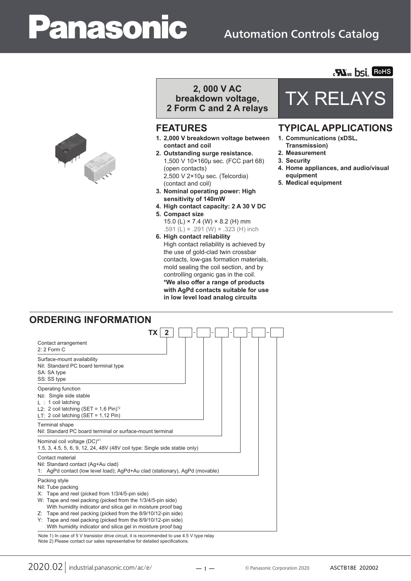# **anasonic**

### Automation Controls Catalog



## **breakdown voltage,**

**2 Form C and 2 A relays**

- **1. 2,000 V breakdown voltage between contact and coil**
- **2. Outstanding surge resistance.** 1,500 V 10×160µ sec. (FCC part 68) (open contacts) 2,500 V 2×10µ sec. (Telcordia) (contact and coil)
- **3. Nominal operating power: High sensitivity of 140mW**
- **4. High contact capacity: 2 A 30 V DC**
- **5. Compact size**
	- 15.0 (L)  $\times$  7.4 (W)  $\times$  8.2 (H) mm .591 (L) × .291 (W) × .323 (H) inch
- **6. High contact reliability** High contact reliability is achieved by the use of gold-clad twin crossbar contacts, low-gas formation materials, mold sealing the coil section, and by controlling organic gas in the coil. \*We also offer a range of products **with AgPd contacts suitable for use in low level load analog circuits**

## 2, 000 V AC<br>**A**kdown voltage, TX RELAY

**Mus bsi. Rohs** 

#### **FEATURES TYPICAL APPLICATIONS**

- **1. Communications (xDSL,**
- **Transmission)**
- **2. Measurement**
- **3. Security**
- **4. Home appliances, and audio/visual equipment**
- **5. Medical equipment**

#### **ORDERING INFORMATION**

|                                                                                                                                                                                                                                                                                                                                                                                                                        | TΧ |  |  |  |
|------------------------------------------------------------------------------------------------------------------------------------------------------------------------------------------------------------------------------------------------------------------------------------------------------------------------------------------------------------------------------------------------------------------------|----|--|--|--|
| Contact arrangement<br>2: 2 Form C                                                                                                                                                                                                                                                                                                                                                                                     |    |  |  |  |
| Surface-mount availability<br>Nil: Standard PC board terminal type<br>SA: SA type<br>SS: SS type                                                                                                                                                                                                                                                                                                                       |    |  |  |  |
| Operating function<br>Nil: Single side stable<br>$L : 1$ coil latching<br>L2: 2 coil latching (SET = $1,6$ Pin) <sup>2</sup><br>LT: 2 coil latching (SET = $1,12$ Pin)                                                                                                                                                                                                                                                 |    |  |  |  |
| Terminal shape<br>Nil: Standard PC board terminal or surface-mount terminal                                                                                                                                                                                                                                                                                                                                            |    |  |  |  |
| Nominal coil voltage (DC)*1<br>1.5, 3, 4.5, 5, 6, 9, 12, 24, 48V (48V coil type: Single side stable only)                                                                                                                                                                                                                                                                                                              |    |  |  |  |
| Contact material<br>Nil: Standard contact (Ag+Au clad)<br>1: AgPd contact (low level load); AgPd+Au clad (stationary), AgPd (movable)                                                                                                                                                                                                                                                                                  |    |  |  |  |
| Packing style<br>Nil: Tube packing<br>X: Tape and reel (picked from 1/3/4/5-pin side)<br>W: Tape and reel packing (picked from the 1/3/4/5-pin side)<br>With humidity indicator and silica gel in moisture proof bag<br>Z: Tape and reel packing (picked from the 8/9/10/12-pin side)<br>Y: Tape and reel packing (picked from the 8/9/10/12-pin side)<br>With humidity indicator and silica gel in moisture proof bag |    |  |  |  |

Note 2) Please contact our sales representative for detailed specifications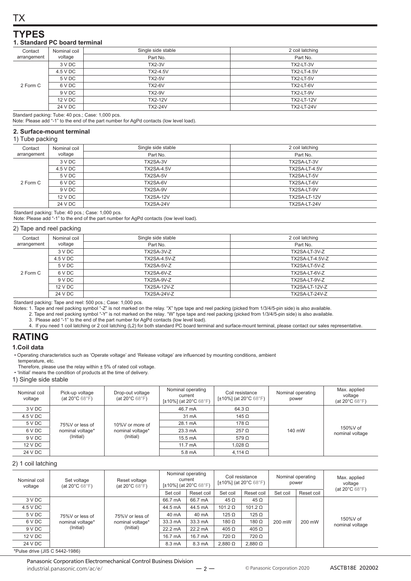#### **YPES**

#### 1. Standard PC board terminal

| Contact     | Nominal coil | Single side stable | 2 coil latching    |
|-------------|--------------|--------------------|--------------------|
| arrangement | voltage      | Part No.           | Part No.           |
|             | 3 V DC       | <b>TX2-3V</b>      | TX2-LT-3V          |
|             | 4.5 V DC     | <b>TX2-4.5V</b>    | <b>TX2-LT-4.5V</b> |
| 2 Form C    | 5 V DC       | <b>TX2-5V</b>      | TX2-LT-5V          |
|             | 6 V DC       | <b>TX2-6V</b>      | TX2-LT-6V          |
|             | 9 V DC       | <b>TX2-9V</b>      | TX2-LT-9V          |
|             | 12 V DC      | <b>TX2-12V</b>     | <b>TX2-LT-12V</b>  |
|             | 24 V DC      | <b>TX2-24V</b>     | <b>TX2-LT-24V</b>  |

Standard packing: Tube: 40 pcs.; Case: 1,000 pcs.

Note: Please add "-1" to the end of the part number for AgPd contacts (low level load).

#### 2. Surface-mount terminal

#### 1) Tube packing

| Contact                | Nominal coil | Single side stable | 2 coil latching      |
|------------------------|--------------|--------------------|----------------------|
| voltage<br>arrangement |              | Part No.           | Part No.             |
|                        | 3 V DC       | TX2SA-3V           | TX2SA-LT-3V          |
| 2 Form C               | 4.5 V DC     | <b>TX2SA-4.5V</b>  | <b>TX2SA-LT-4.5V</b> |
|                        | 5 V DC       | TX2SA-5V           | TX2SA-LT-5V          |
|                        | 6 V DC       | TX2SA-6V           | TX2SA-LT-6V          |
|                        | 9 V DC       | TX2SA-9V           | TX2SA-LT-9V          |
|                        | 12 V DC      | <b>TX2SA-12V</b>   | TX2SA-LT-12V         |
|                        | 24 V DC      | TX2SA-24V          | TX2SA-LT-24V         |

Standard packing: Tube: 40 pcs.; Case: 1,000 pcs.<br>Note: Please add "-1" to the end of the part number for AgPd contacts (low level load).

#### 2) Tape and reel packing

| Contact     | Nominal coil | Single side stable  | 2 coil latching        |
|-------------|--------------|---------------------|------------------------|
| arrangement | voltage      | Part No.            | Part No.               |
|             | 3 V DC       | TX2SA-3V-Z          | TX2SA-LT-3V-Z          |
|             | 4.5 V DC     | <b>TX2SA-4.5V-Z</b> | <b>TX2SA-LT-4.5V-Z</b> |
|             | 5 V DC       | TX2SA-5V-Z          | TX2SA-LT-5V-Z          |
| 2 Form C    | 6 V DC       | TX2SA-6V-Z          | TX2SA-LT-6V-Z          |
|             | 9 V DC       | TX2SA-9V-Z          | TX2SA-LT-9V-Z          |
|             | 12 V DC      | <b>TX2SA-12V-Z</b>  | <b>TX2SA-LT-12V-Z</b>  |
|             | 24 V DC      | <b>TX2SA-24V-Z</b>  | TX2SA-LT-24V-Z         |
|             |              |                     |                        |

Standard packing: Tape and reel: 500 pcs.; Case: 1,000 pcs.

otanuan passing and real of the same of the search of the search of the search of the search of the search of the search of the search of the search of the search of the search of the search of the search of the relay. "X

- 3. Please add "-1" to the end of the part number for AgPd contacts (low level load).
- 4. If you need 1 coil latching or 2 coil latching (L2) for both standard PC board terminal and surface-mount terminal, please contact our sales representative.

#### **RATING**

#### 1.Coil data

- Operating characteristics such as 'Operate voltage' and 'Release voltage' are influenced by mounting conditions, ambient
- temperature, etc.<br>Therefore, please use the relay within ± 5% of rated coil voltage.
- 'Initial' means the condition of products at the time of delivery.

#### 1) Single side stable

| Nominal coil<br>voltage | Pick-up voltage<br>(at $20^{\circ}$ C 68 $^{\circ}$ F) | Drop-out voltage<br>(at $20^{\circ}$ C 68 $^{\circ}$ F) | Nominal operating<br>current<br>$[\pm 10\%]$ (at 20°C 68°F) | Coil resistance<br>$[\pm 10\%]$ (at 20°C 68°F) | Nominal operating<br>power | Max. applied<br>voltage<br>(at $20^{\circ}$ C 68 $^{\circ}$ F) |
|-------------------------|--------------------------------------------------------|---------------------------------------------------------|-------------------------------------------------------------|------------------------------------------------|----------------------------|----------------------------------------------------------------|
| 3 V DC                  |                                                        |                                                         | 46.7 mA                                                     | $64.3 \Omega$                                  |                            |                                                                |
| 4.5 V DC                | 75%V or less of                                        | 10%V or more of<br>nominal voltage*<br>(Initial)        | 31 mA                                                       | 145 $\Omega$                                   |                            |                                                                |
| 5 V DC                  |                                                        |                                                         |                                                             | 28.1 mA                                        | $178\Omega$                |                                                                |
| 6 V DC                  | nominal voltage*                                       |                                                         |                                                             | 23.3 mA                                        | $257 \Omega$               | 140 mW                                                         |
| 9 V DC                  | (Initial)                                              |                                                         | 15.5 mA                                                     | 579 $\Omega$                                   |                            |                                                                |
| 12 V DC                 |                                                        |                                                         | $11.7 \text{ mA}$                                           | $1,028$ $\Omega$                               |                            |                                                                |
| 24 V DC                 |                                                        | 5.8 mA                                                  | $4.114 \Omega$                                              |                                                |                            |                                                                |

#### 2) 1 coil latching

| Nominal coil<br>voltage | Set voltage<br>(at $20^{\circ}$ C 68 $^{\circ}$ F) |                                                               | Nominal operating<br>current<br>Reset voltage<br>$[\pm 10\%]$ (at 20°C 68°F)<br>(at $20^{\circ}$ C 68 $^{\circ}$ F) |             | Coil resistance<br>[±10%] (at 20°C 68°F) |                  | Nominal operating<br>power |            | Max. applied<br>voltage<br>(at $20^{\circ}$ C 68 $^{\circ}$ F) |
|-------------------------|----------------------------------------------------|---------------------------------------------------------------|---------------------------------------------------------------------------------------------------------------------|-------------|------------------------------------------|------------------|----------------------------|------------|----------------------------------------------------------------|
|                         |                                                    |                                                               | Set coil                                                                                                            | Reset coil  | Set coil                                 | Reset coil       | Set coil                   | Reset coil |                                                                |
| 3 V DC                  |                                                    | 66.7 mA                                                       | 66.7 mA                                                                                                             | $45 \Omega$ | 45 $\Omega$                              |                  |                            |            |                                                                |
| 4.5 V DC                |                                                    | 75%V or less of<br>nominal voltage*<br>(Initial)<br>(Initial) | 44.5 mA                                                                                                             | 44.5 mA     | 101.2 $\Omega$                           | 101.2 $\Omega$   | 200 mW                     | 200 mW     | 150%V of<br>nominal voltage                                    |
| 5 V DC                  | 75%V or less of                                    |                                                               | 40 mA                                                                                                               | 40 mA       | $125 \Omega$                             | $125 \Omega$     |                            |            |                                                                |
| 6 V DC                  | nominal voltage*                                   |                                                               | 33.3 mA                                                                                                             | 33.3 mA     | 180 $\Omega$                             | $180 \Omega$     |                            |            |                                                                |
| 9 V DC                  |                                                    |                                                               | 22.2 mA                                                                                                             | 22.2 mA     | $405 \Omega$                             | $405 \Omega$     |                            |            |                                                                |
| 12 V DC                 |                                                    | 16.7 mA                                                       | 16.7 mA                                                                                                             | 720 Ω       | $720 \Omega$                             |                  |                            |            |                                                                |
| 24 V DC                 |                                                    |                                                               | 8.3 mA                                                                                                              | 8.3 mA      | $2,880$ $\Omega$                         | $2,880$ $\Omega$ |                            |            |                                                                |

\*Pulse drive (JIS C 5442-1986)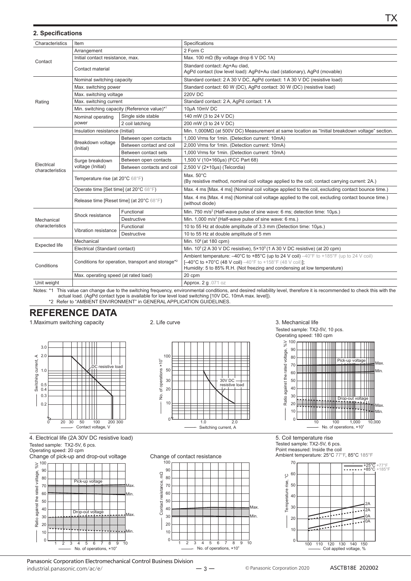|  |  |  |  | 2. Specifications |
|--|--|--|--|-------------------|
|--|--|--|--|-------------------|

| Characteristics               | Item                                                          |                                             | Specifications                                                                                                                                                                                                                                              |  |
|-------------------------------|---------------------------------------------------------------|---------------------------------------------|-------------------------------------------------------------------------------------------------------------------------------------------------------------------------------------------------------------------------------------------------------------|--|
|                               | Arrangement                                                   |                                             | 2 Form C                                                                                                                                                                                                                                                    |  |
| Contact                       | Initial contact resistance, max.                              |                                             | Max. 100 m $\Omega$ (By voltage drop 6 V DC 1A)                                                                                                                                                                                                             |  |
|                               | Contact material                                              |                                             | Standard contact: Ag+Au clad,<br>AgPd contact (low level load): AgPd+Au clad (stationary), AgPd (movable)                                                                                                                                                   |  |
|                               | Nominal switching capacity                                    |                                             | Standard contact: 2 A 30 V DC, AgPd contact: 1 A 30 V DC (resistive load)                                                                                                                                                                                   |  |
|                               | Max. switching power                                          |                                             | Standard contact: 60 W (DC), AgPd contact: 30 W (DC) (resistive load)                                                                                                                                                                                       |  |
|                               | Max. switching voltage                                        |                                             | <b>220V DC</b>                                                                                                                                                                                                                                              |  |
| Rating                        | Max. switching current                                        |                                             | Standard contact: 2 A, AgPd contact: 1 A                                                                                                                                                                                                                    |  |
|                               |                                                               | Min. switching capacity (Reference value)*1 | 10µA 10mV DC                                                                                                                                                                                                                                                |  |
|                               | Nominal operating                                             | Single side stable                          | 140 mW (3 to 24 V DC)                                                                                                                                                                                                                                       |  |
|                               | power                                                         | 2 coil latching                             | 200 mW (3 to 24 V DC)                                                                                                                                                                                                                                       |  |
|                               | Insulation resistance (Initial)                               |                                             | Min. $1,000\text{M}\Omega$ (at 500V DC) Measurement at same location as "Initial breakdown voltage" section.                                                                                                                                                |  |
|                               |                                                               | Between open contacts                       | 1,000 Vrms for 1min. (Detection current: 10mA)                                                                                                                                                                                                              |  |
|                               | Breakdown voltage<br>(Initial)                                | Between contact and coil                    | 2,000 Vrms for 1min. (Detection current: 10mA)                                                                                                                                                                                                              |  |
|                               |                                                               | Between contact sets                        | 1,000 Vrms for 1min. (Detection current: 10mA)                                                                                                                                                                                                              |  |
|                               | Surge breakdown<br>voltage (Initial)                          | Between open contacts                       | 1,500 V (10×160µs) (FCC Part 68)                                                                                                                                                                                                                            |  |
| Electrical<br>characteristics |                                                               | Between contacts and coil                   | 2,500 V (2×10µs) (Telcordia)                                                                                                                                                                                                                                |  |
|                               | Temperature rise (at $20^{\circ}$ C 68 $^{\circ}$ F)          |                                             | Max. 50°C<br>(By resistive method, nominal coil voltage applied to the coil; contact carrying current: 2A.)                                                                                                                                                 |  |
|                               | Operate time [Set time] (at 20°C 68°F)                        |                                             | Max. 4 ms [Max. 4 ms] (Nominal coil voltage applied to the coil, excluding contact bounce time.)                                                                                                                                                            |  |
|                               | Release time [Reset time] (at 20°C 68°F)                      |                                             | Max. 4 ms [Max. 4 ms] (Nominal coil voltage applied to the coil, excluding contact bounce time.)<br>(without diode)                                                                                                                                         |  |
|                               |                                                               | Functional                                  | Min. 750 m/s <sup>2</sup> (Half-wave pulse of sine wave: 6 ms; detection time: 10µs.)                                                                                                                                                                       |  |
| Mechanical                    | Shock resistance                                              | Destructive                                 | Min. 1,000 m/s <sup>2</sup> (Half-wave pulse of sine wave: 6 ms.)                                                                                                                                                                                           |  |
| characteristics               |                                                               | Functional                                  | 10 to 55 Hz at double amplitude of 3.3 mm (Detection time: 10us.)                                                                                                                                                                                           |  |
|                               | Vibration resistance                                          | Destructive                                 | 10 to 55 Hz at double amplitude of 5 mm                                                                                                                                                                                                                     |  |
|                               | Mechanical                                                    |                                             | Min. $108$ (at 180 cpm)                                                                                                                                                                                                                                     |  |
| <b>Expected life</b>          | Electrical (Standard contact)                                 |                                             | Min. $10^5$ (2 A 30 V DC resistive), $5 \times 10^5$ (1 A 30 V DC resistive) (at 20 cpm)                                                                                                                                                                    |  |
| Conditions                    | Conditions for operation, transport and storage <sup>*2</sup> |                                             | Ambient temperature: $-40^{\circ}$ C to +85°C (up to 24 V coil) $-40^{\circ}$ F to +185°F (up to 24 V coil)<br><b>[-40°C to +70°C (48 V coil)</b> -40°F to +158°F (48 V coil)];<br>Humidity: 5 to 85% R.H. (Not freezing and condensing at low temperature) |  |
|                               | Max. operating speed (at rated load)                          |                                             | 20 cpm                                                                                                                                                                                                                                                      |  |
| Unit weight                   |                                                               |                                             | Approx. 2 g .071 oz                                                                                                                                                                                                                                         |  |
|                               |                                                               |                                             | Notes: *1 This value can change due to the switching frequency environmental conditions and desired reliability level therefore it is recommended to check this with the                                                                                    |  |

actual load. (AgPd contact type is available for low level load switching [10V DC, 10mA max. level]). \*2 Refer to "AMBIENT ENVIRONMENT" in GENERAL APPLICATION GUIDELINES

#### **REFERENCE DATA**

1. Maximum switching capacity



4. Electrical life (2A 30V DC resistive load) Tested sample: TX2-5V, 6 pcs.

Operating speed: 20 cpm





2. Life curve

 $\overline{1}00$  $90$  $\frac{a}{b}$ 80 Contact resistance, 70 60 50 40  $30$ 

Change of contact resistance

 $\overline{2}$ 3  $\overline{4}$ 5 6

 $\overline{2}$ 

 $10$ 

 $\overline{0}$ 





5. Coil temperature rise Tested sample: TX2-5V, 6 pcs. Point measured: Inside the coil Ambient temperature: 25°C 77°F, 85°C 185°F



Panasonic Corporation Electromechanical Control Business Division industrial.panasonic.com/ac/e/

Иaх

Min

 $\overline{10}$ 

8 9

 $\overline{7}$ No. of operations, ×104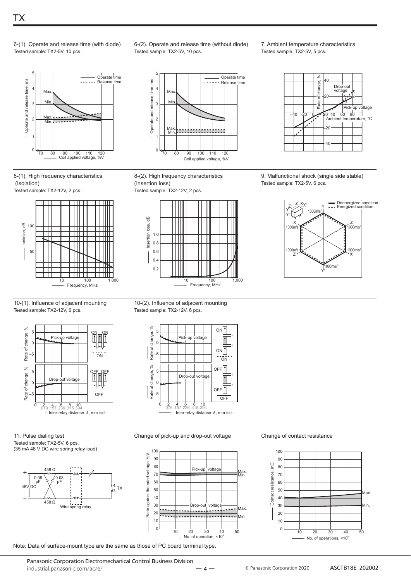

6-(1). Operate and release time (with diode) Tested sample: TX2-5V, 10 pcs.



8-(1). High frequency characteristics (Isolation)





6-(2). Operate and release time (without diode) Tested sample: TX2-5V, 10 pcs.



8-(2). High frequency characteristics (Insertion loss)



7. Ambient temperature characteristics Tested sample: TX2-5V, 5 pcs.



9. Malfunctional shock (single side stable) Tested sample: TX2-5V, 6 pcs.



#### 10-(1). Influence of adjacent mounting Tested sample: TX2-12V, 6 pcs.



11. Pulse dialing test Tested sample: TX2-5V, 6 pcs (35 mA 48 V DC wire spring relay load)

> $458 \Omega$ 0.08 ȝ) 0.08 μF

> > 458 O

Wire spring relay

48V DC

+

–

10-(2). Influence of adjacent mounting Tested sample: TX2-12V, 6 pcs.



Change of pick-up and drop-out voltage

100  $\mathcal{N}^{\mathcal{G}}$ Ratio against the rated voltage, %V 90 voltage, 80 Pick-up voltage 70 against the rated 60 50 40 voltad 30 Ratio 20  $\frac{1}{2}$ . . . . . . 10  $\overline{0}$  $40$ 10 20 30 50 No. of operation,  $×10<sup>4</sup>$ 

Change of contact resistance



Note: Data of surface-mount type are the same as those of PC board terminal type.

4 <sup>3</sup> TX

Panasonic Corporation Electromechanical Control Business Division industrial.panasonic.com/ac/e/



- 4 — © Panasonic Corporation 2020 **ASCTB18E 202002** 

Max. Min.

Max. Min.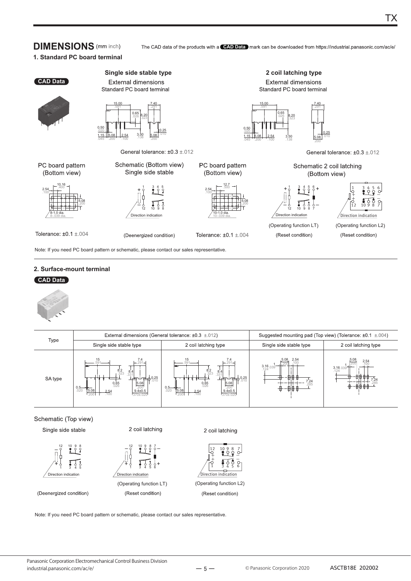#### **DIMENSIONS** (mm inch)

The CAD data of the products with a **CAD Data** mark can be downloaded from https://industrial.panasonic.com/ac/e/

TX

#### **1. Standard PC board terminal**



Note: If you need PC board pattern or schematic, please contact our sales representative.

#### **2. Surface-mount terminal**

#### **CAD Data**



|                              |                                                                                                                                                                            | External dimensions (General tolerance: ±0.3 ±.012)                                                                                                                         | Suggested mounting pad (Top view) (Tolerance: $\pm 0.1 \pm .004$ ) |                                                   |  |
|------------------------------|----------------------------------------------------------------------------------------------------------------------------------------------------------------------------|-----------------------------------------------------------------------------------------------------------------------------------------------------------------------------|--------------------------------------------------------------------|---------------------------------------------------|--|
| Type                         | Single side stable type                                                                                                                                                    | 2 coil latching type                                                                                                                                                        | Single side stable type                                            | 2 coil latching type                              |  |
| SA type                      | 15<br>$-291 -$<br>$8.2$ 323<br>331<br>$-10.25$<br>$0.65$<br>.026<br>$\frac{5.08}{200}$<br>$0.5 - 0.20$<br>5.08<br>$\frac{9.4 \pm 0.5}{370 \pm .020}$<br>$\frac{2.54}{100}$ | 15<br>$-291 -$<br>$8.2$ 323<br>331<br>$-m+0.25$<br>$0.65$<br>.026<br>$\frac{5.08}{200}$<br>$0.5 - 0.20$<br>5.08<br>$\frac{9.4 \pm 0.5}{370 \pm .020}$<br>$\frac{2.54}{100}$ | 2.54<br>$3.16$ .039<br>-⊞⊞-<br>$7.24$<br>.285                      | 5.08<br>2.54<br>100<br>$3.16.039$ <sup>-124</sup> |  |
| Schematic (Top view)         |                                                                                                                                                                            |                                                                                                                                                                             |                                                                    |                                                   |  |
| Single side stable           | 2 coil latching                                                                                                                                                            | 2 coil latching                                                                                                                                                             |                                                                    |                                                   |  |
| 12<br>$\overline{a}$<br>′∔ ¦ | 10 9 8<br>1098<br>$\circ$<br>$\circ$ $-$                                                                                                                                   | $\frac{12}{5}$                                                                                                                                                              |                                                                    |                                                   |  |



1 3 4 5

ion indication + + 1 3 4 5 6

#### (Deenergized condition)

(Reset condition)



Note: If you need PC board pattern or schematic, please contact our sales representative.

 $-5-$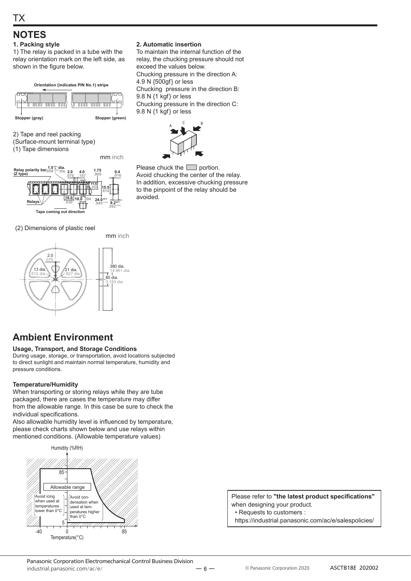### **NOTES**

#### **1. Packing style**

1) The relay is packed in a tube with the relay orientation mark on the left side, as shown in the figure below.

**Orientation (indicates PIN No.1) stripe**



2) Tape and reel packing

(Surface-mount terminal type)

(1) Tape dimensions

mm inch



(2) Dimensions of plastic reel



#### **2. Automatic insertion**

To maintain the internal function of the relay, the chucking pressure should not exceed the values below. Chucking pressure in the direction A:  $4.9$  N  $\{500$ gf} or less Chucking pressure in the direction B:  $9.8$  N  $\{1 \text{ kgf}\}$  or less Chucking pressure in the direction C:  $9.8$  N  $\{1$  kgf $\}$  or less



Please chuck the  $\Box$  portion. Avoid chucking the center of the relay. In addition, excessive chucking pressure to the pinpoint of the relay should be avoided.

#### **Ambient Environment**

**Usage, Transport, and Storage Conditions** During usage, storage, or transportation, avoid locations subjected to direct sunlight and maintain normal temperature, humidity and pressure conditions.

#### **Temperature/Humidity**

When transporting or storing relays while they are tube packaged, there are cases the temperature may differ from the allowable range. In this case be sure to check the individual specifications.

Also allowable humidity level is influenced by temperature, please check charts shown below and use relays within mentioned conditions. (Allowable temperature values)



Please refer to "the latest product specifications" when designing your product.

• Requests to customers:

https://industrial.panasonic.com/ac/e/salespolicies/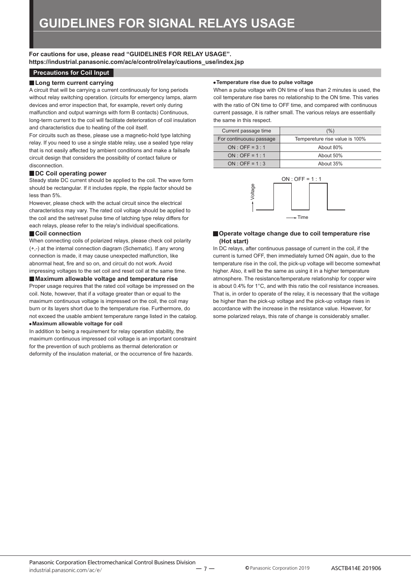**For cautions for use, please read "GUIDELINES FOR RELAY USAGE". https://industrial.panasonic.com/ac/e/control/relay/cautions\_use/index.jsp**

#### **Precautions for Coil Input**

#### **Long term current carrying**

A circuit that will be carrying a current continuously for long periods without relay switching operation. (circuits for emergency lamps, alarm devices and error inspection that, for example, revert only during malfunction and output warnings with form B contacts) Continuous, long-term current to the coil will facilitate deterioration of coil insulation and characteristics due to heating of the coil itself.

For circuits such as these, please use a magnetic-hold type latching relay. If you need to use a single stable relay, use a sealed type relay that is not easily affected by ambient conditions and make a failsafe circuit design that considers the possibility of contact failure or disconnection.

#### ■ DC Coil operating power

Steady state DC current should be applied to the coil. The wave form should be rectangular. If it includes ripple, the ripple factor should be less than 5%.

However, please check with the actual circuit since the electrical characteristics may vary. The rated coil voltage should be applied to the coil and the set/reset pulse time of latching type relay differs for each relays, please refer to the relay's individual specifications.

#### **Coil connection**

When connecting coils of polarized relays, please check coil polarity (+,-) at the internal connection diagram (Schematic). If any wrong connection is made, it may cause unexpected malfunction, like abnormal heat, fire and so on, and circuit do not work. Avoid impressing voltages to the set coil and reset coil at the same time.

#### **Maximum allowable voltage and temperature rise**

Proper usage requires that the rated coil voltage be impressed on the coil. Note, however, that if a voltage greater than or equal to the maximum continuous voltage is impressed on the coil, the coil may burn or its layers short due to the temperature rise. Furthermore, do not exceed the usable ambient temperature range listed in the catalog.

#### **Maximum allowable voltage for coil**

In addition to being a requirement for relay operation stability, the maximum continuous impressed coil voltage is an important constraint for the prevention of such problems as thermal deterioration or deformity of the insulation material, or the occurrence of fire hazards.

#### **Temperature rise due to pulse voltage**

When a pulse voltage with ON time of less than 2 minutes is used, the coil temperature rise bares no relationship to the ON time. This varies with the ratio of ON time to OFF time, and compared with continuous current passage, it is rather small. The various relays are essentially the same in this respect.

| Current passage time    | (%)                            |
|-------------------------|--------------------------------|
| For continuousu passage | Tempereture rise value is 100% |
| $ON:OFF = 3:1$          | About 80%                      |
| $ON:OFF = 1:1$          | About 50%                      |
| $ON:OFF = 1:3$          | About 35%                      |



#### **Operate voltage change due to coil temperature rise (Hot start)**

In DC relays, after continuous passage of current in the coil, if the current is turned OFF, then immediately turned ON again, due to the temperature rise in the coil, the pick-up voltage will become somewhat higher. Also, it will be the same as using it in a higher temperature atmosphere. The resistance/temperature relationship for copper wire is about 0.4% for 1°C, and with this ratio the coil resistance increases. That is, in order to operate of the relay, it is necessary that the voltage be higher than the pick-up voltage and the pick-up voltage rises in accordance with the increase in the resistance value. However, for some polarized relays, this rate of change is considerably smaller.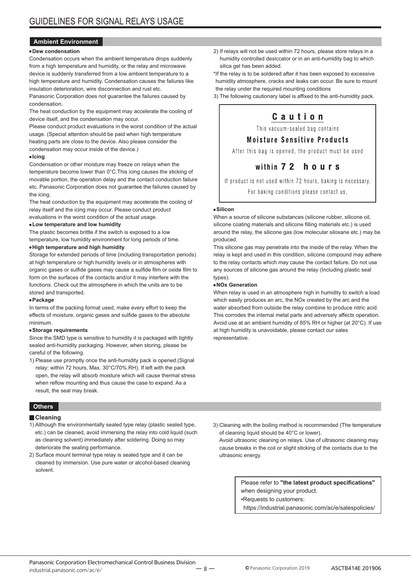#### **Ambient Environment**

#### **Dew condensation**

Condensation occurs when the ambient temperature drops suddenly from a high temperature and humidity, or the relay and microwave device is suddenly transferred from a low ambient temperature to a high temperature and humidity. Condensation causes the failures like insulation deterioration, wire disconnection and rust etc.

Panasonic Corporation does not guarantee the failures caused by condensation.

The heat conduction by the equipment may accelerate the cooling of device itself, and the condensation may occur.

Please conduct product evaluations in the worst condition of the actual usage. (Special attention should be paid when high temperature heating parts are close to the device. Also please consider the condensation may occur inside of the device.)

#### **Icing**

Condensation or other moisture may freeze on relays when the temperature become lower than 0°C. This icing causes the sticking of movable portion, the operation delay and the contact conduction failure etc. Panasonic Corporation does not guarantee the failures caused by the icing.

The heat conduction by the equipment may accelerate the cooling of relay itself and the icing may occur. Please conduct product evaluations in the worst condition of the actual usage.

#### **Low temperature and low humidity**

The plastic becomes brittle if the switch is exposed to a low temperature, low humidity environment for long periods of time.

#### **High temperature and high humidity**

Storage for extended periods of time (including transportation periods) at high temperature or high humidity levels or in atmospheres with organic gases or sulfide gases may cause a sulfide film or oxide film to form on the surfaces of the contacts and/or it may interfere with the functions. Check out the atmosphere in which the units are to be stored and transported.

#### **Package**

In terms of the packing format used, make every effort to keep the effects of moisture, organic gases and sulfide gases to the absolute minimum.

#### **Storage requirements**

Since the SMD type is sensitive to humidity it is packaged with tightly sealed anti-humidity packaging. However, when storing, please be careful of the following.

1) Please use promptly once the anti-humidity pack is opened. (Signal relay: within 72 hours, Max. 30°C/70% RH). If left with the pack open, the relay will absorb moisture which will cause thermal stress when reflow mounting and thus cause the case to expand. As a result, the seal may break.

#### **Others**

#### **Cleaning**

- 1) Although the environmentally sealed type relay (plastic sealed type, etc.) can be cleaned, avoid immersing the relay into cold liquid (such as cleaning solvent) immediately after soldering. Doing so may deteriorate the sealing performance.
- 2) Surface mount terminal type relay is sealed type and it can be cleaned by immersion. Use pure water or alcohol-based cleaning solvent.

2) If relays will not be used within 72 hours, please store relays in a humidity controlled desiccator or in an anti-humidity bag to which silica gel has been added.

\* If the relay is to be soldered after it has been exposed to excessive humidity atmosphere, cracks and leaks can occur. Be sure to mount the relay under the required mounting conditions

3) The following cautionary label is affixed to the anti-humidity pack.

#### Caution

This vacuum-sealed bag contains

#### **Moisture Sensitive Products**

After this bag is opened, the product must be used

#### within 72 hours

If product is not used within 72 hours, baking is necessary. For baking conditions please contact us.

#### **Silicon**

When a source of silicone substances (silicone rubber, silicone oil, silicone coating materials and silicone filling materials etc.) is used around the relay, the silicone gas (low molecular siloxane etc.) may be produced.

This silicone gas may penetrate into the inside of the relay. When the relay is kept and used in this condition, silicone compound may adhere to the relay contacts which may cause the contact failure. Do not use any sources of silicone gas around the relay (Including plastic seal types).

#### **NOx Generation**

When relay is used in an atmosphere high in humidity to switch a load which easily produces an arc, the NOx created by the arc and the water absorbed from outside the relay combine to produce nitric acid. This corrodes the internal metal parts and adversely affects operation. Avoid use at an ambient humidity of 85% RH or higher (at 20°C). If use at high humidity is unavoidable, please contact our sales representative.

3) Cleaning with the boiling method is recommended (The temperature of cleaning liquid should be 40°C or lower).

Avoid ultrasonic cleaning on relays. Use of ultrasonic cleaning may cause breaks in the coil or slight sticking of the contacts due to the ultrasonic energy.

> Please refer to "the latest product specifications" when designing your product.

•Requests to customers:

https://industrial.panasonic.com/ac/e/salespolicies/